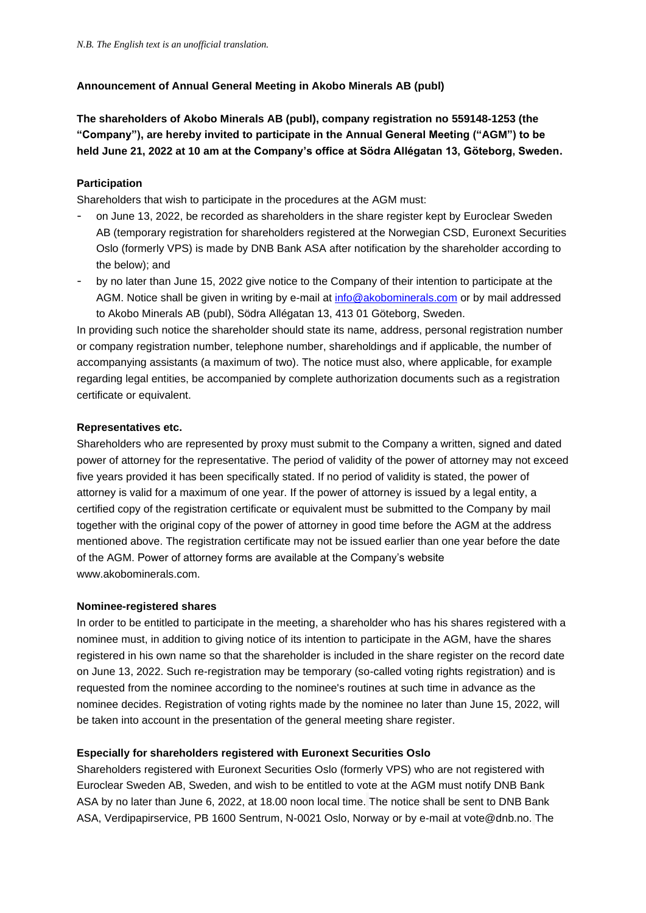# **Announcement of Annual General Meeting in Akobo Minerals AB (publ)**

**The shareholders of Akobo Minerals AB (publ), company registration no 559148-1253 (the "Company"), are hereby invited to participate in the Annual General Meeting ("AGM") to be held June 21, 2022 at 10 am at the Company's office at Södra Allégatan 13, Göteborg, Sweden.**

### **Participation**

Shareholders that wish to participate in the procedures at the AGM must:

- on June 13, 2022, be recorded as shareholders in the share register kept by Euroclear Sweden AB (temporary registration for shareholders registered at the Norwegian CSD, Euronext Securities Oslo (formerly VPS) is made by DNB Bank ASA after notification by the shareholder according to the below); and
- by no later than June 15, 2022 give notice to the Company of their intention to participate at the AGM. Notice shall be given in writing by e-mail at [info@akobominerals.com](mailto:info@akobominerals.com) or by mail addressed to Akobo Minerals AB (publ), Södra Allégatan 13, 413 01 Göteborg, Sweden.

In providing such notice the shareholder should state its name, address, personal registration number or company registration number, telephone number, shareholdings and if applicable, the number of accompanying assistants (a maximum of two). The notice must also, where applicable, for example regarding legal entities, be accompanied by complete authorization documents such as a registration certificate or equivalent.

### **Representatives etc.**

Shareholders who are represented by proxy must submit to the Company a written, signed and dated power of attorney for the representative. The period of validity of the power of attorney may not exceed five years provided it has been specifically stated. If no period of validity is stated, the power of attorney is valid for a maximum of one year. If the power of attorney is issued by a legal entity, a certified copy of the registration certificate or equivalent must be submitted to the Company by mail together with the original copy of the power of attorney in good time before the AGM at the address mentioned above. The registration certificate may not be issued earlier than one year before the date of the AGM. Power of attorney forms are available at the Company's website www.akobominerals.com.

### **Nominee-registered shares**

In order to be entitled to participate in the meeting, a shareholder who has his shares registered with a nominee must, in addition to giving notice of its intention to participate in the AGM, have the shares registered in his own name so that the shareholder is included in the share register on the record date on June 13, 2022. Such re-registration may be temporary (so-called voting rights registration) and is requested from the nominee according to the nominee's routines at such time in advance as the nominee decides. Registration of voting rights made by the nominee no later than June 15, 2022, will be taken into account in the presentation of the general meeting share register.

# **Especially for shareholders registered with Euronext Securities Oslo**

Shareholders registered with Euronext Securities Oslo (formerly VPS) who are not registered with Euroclear Sweden AB, Sweden, and wish to be entitled to vote at the AGM must notify DNB Bank ASA by no later than June 6, 2022, at 18.00 noon local time. The notice shall be sent to DNB Bank ASA, Verdipapirservice, PB 1600 Sentrum, N-0021 Oslo, Norway or by e-mail at vote@dnb.no. The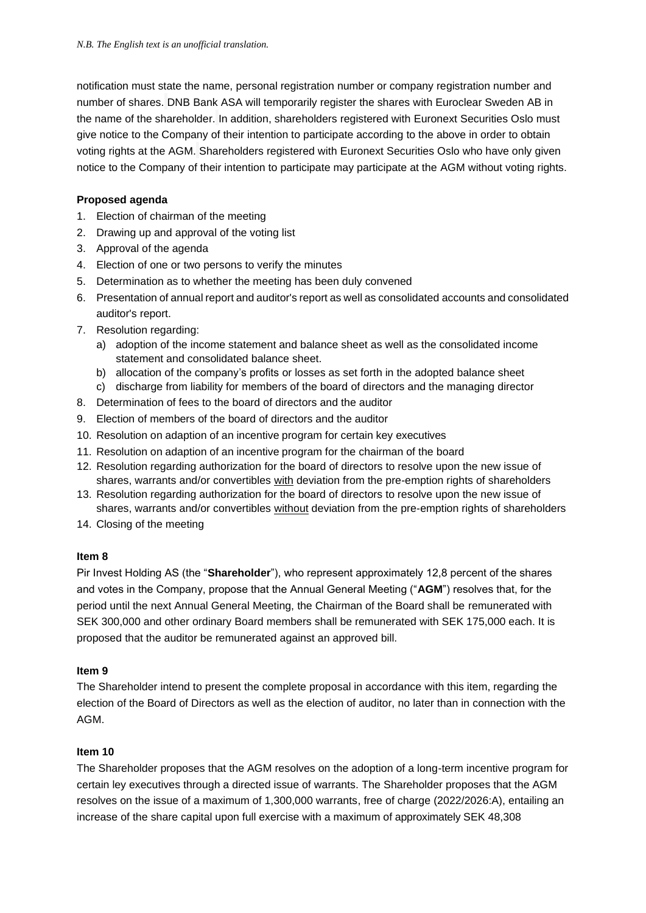notification must state the name, personal registration number or company registration number and number of shares. DNB Bank ASA will temporarily register the shares with Euroclear Sweden AB in the name of the shareholder. In addition, shareholders registered with Euronext Securities Oslo must give notice to the Company of their intention to participate according to the above in order to obtain voting rights at the AGM. Shareholders registered with Euronext Securities Oslo who have only given notice to the Company of their intention to participate may participate at the AGM without voting rights.

## **Proposed agenda**

- 1. Election of chairman of the meeting
- 2. Drawing up and approval of the voting list
- 3. Approval of the agenda
- 4. Election of one or two persons to verify the minutes
- 5. Determination as to whether the meeting has been duly convened
- 6. Presentation of annual report and auditor's report as well as consolidated accounts and consolidated auditor's report.
- 7. Resolution regarding:
	- a) adoption of the income statement and balance sheet as well as the consolidated income statement and consolidated balance sheet.
	- b) allocation of the company's profits or losses as set forth in the adopted balance sheet
	- c) discharge from liability for members of the board of directors and the managing director
- 8. Determination of fees to the board of directors and the auditor
- 9. Election of members of the board of directors and the auditor
- 10. Resolution on adaption of an incentive program for certain key executives
- 11. Resolution on adaption of an incentive program for the chairman of the board
- 12. Resolution regarding authorization for the board of directors to resolve upon the new issue of shares, warrants and/or convertibles with deviation from the pre-emption rights of shareholders
- 13. Resolution regarding authorization for the board of directors to resolve upon the new issue of shares, warrants and/or convertibles without deviation from the pre-emption rights of shareholders
- 14. Closing of the meeting

### **Item 8**

Pir Invest Holding AS (the "**Shareholder**"), who represent approximately 12,8 percent of the shares and votes in the Company, propose that the Annual General Meeting ("**AGM**") resolves that, for the period until the next Annual General Meeting, the Chairman of the Board shall be remunerated with SEK 300,000 and other ordinary Board members shall be remunerated with SEK 175,000 each. It is proposed that the auditor be remunerated against an approved bill.

### **Item 9**

The Shareholder intend to present the complete proposal in accordance with this item, regarding the election of the Board of Directors as well as the election of auditor, no later than in connection with the AGM.

### **Item 10**

The Shareholder proposes that the AGM resolves on the adoption of a long-term incentive program for certain ley executives through a directed issue of warrants. The Shareholder proposes that the AGM resolves on the issue of a maximum of 1,300,000 warrants, free of charge (2022/2026:A), entailing an increase of the share capital upon full exercise with a maximum of approximately SEK 48,308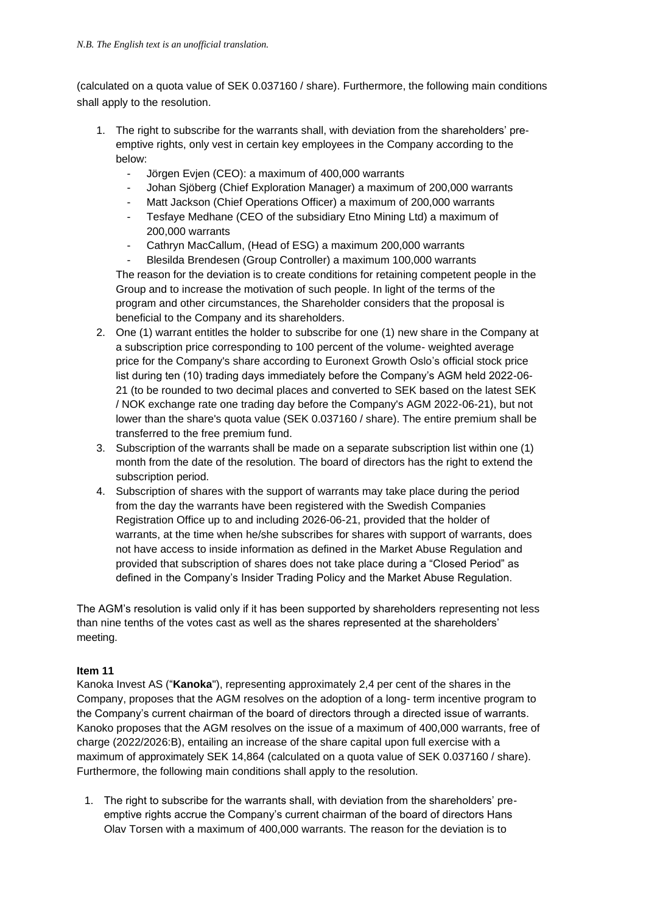(calculated on a quota value of SEK 0.037160 / share). Furthermore, the following main conditions shall apply to the resolution.

- 1. The right to subscribe for the warrants shall, with deviation from the shareholders' preemptive rights, only vest in certain key employees in the Company according to the below:
	- Jörgen Evjen (CEO): a maximum of 400,000 warrants
	- Johan Sjöberg (Chief Exploration Manager) a maximum of 200,000 warrants
	- Matt Jackson (Chief Operations Officer) a maximum of 200,000 warrants
	- Tesfaye Medhane (CEO of the subsidiary Etno Mining Ltd) a maximum of 200,000 warrants
	- Cathryn MacCallum, (Head of ESG) a maximum 200,000 warrants

- Blesilda Brendesen (Group Controller) a maximum 100,000 warrants The reason for the deviation is to create conditions for retaining competent people in the Group and to increase the motivation of such people. In light of the terms of the program and other circumstances, the Shareholder considers that the proposal is beneficial to the Company and its shareholders.

- 2. One (1) warrant entitles the holder to subscribe for one (1) new share in the Company at a subscription price corresponding to 100 percent of the volume- weighted average price for the Company's share according to Euronext Growth Oslo's official stock price list during ten (10) trading days immediately before the Company's AGM held 2022-06- 21 (to be rounded to two decimal places and converted to SEK based on the latest SEK / NOK exchange rate one trading day before the Company's AGM 2022-06-21), but not lower than the share's quota value (SEK 0.037160 / share). The entire premium shall be transferred to the free premium fund.
- 3. Subscription of the warrants shall be made on a separate subscription list within one (1) month from the date of the resolution. The board of directors has the right to extend the subscription period.
- 4. Subscription of shares with the support of warrants may take place during the period from the day the warrants have been registered with the Swedish Companies Registration Office up to and including 2026-06-21, provided that the holder of warrants, at the time when he/she subscribes for shares with support of warrants, does not have access to inside information as defined in the Market Abuse Regulation and provided that subscription of shares does not take place during a "Closed Period" as defined in the Company's Insider Trading Policy and the Market Abuse Regulation.

The AGM's resolution is valid only if it has been supported by shareholders representing not less than nine tenths of the votes cast as well as the shares represented at the shareholders' meeting.

# **Item 11**

Kanoka Invest AS ("**Kanoka**"), representing approximately 2,4 per cent of the shares in the Company, proposes that the AGM resolves on the adoption of a long- term incentive program to the Company's current chairman of the board of directors through a directed issue of warrants. Kanoko proposes that the AGM resolves on the issue of a maximum of 400,000 warrants, free of charge (2022/2026:B), entailing an increase of the share capital upon full exercise with a maximum of approximately SEK 14,864 (calculated on a quota value of SEK 0.037160 / share). Furthermore, the following main conditions shall apply to the resolution.

1. The right to subscribe for the warrants shall, with deviation from the shareholders' preemptive rights accrue the Company's current chairman of the board of directors Hans Olav Torsen with a maximum of 400,000 warrants. The reason for the deviation is to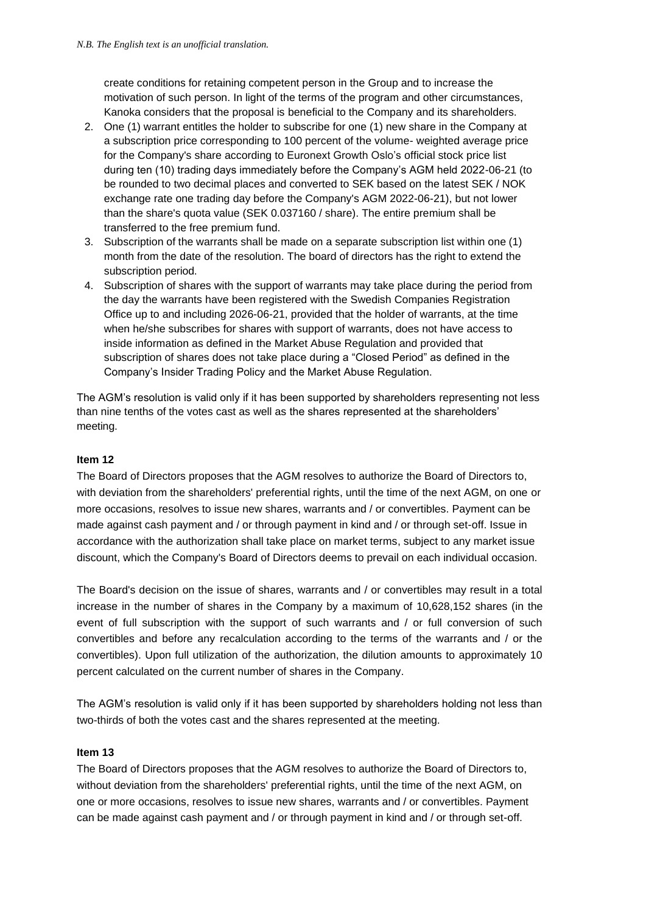create conditions for retaining competent person in the Group and to increase the motivation of such person. In light of the terms of the program and other circumstances, Kanoka considers that the proposal is beneficial to the Company and its shareholders.

- 2. One (1) warrant entitles the holder to subscribe for one (1) new share in the Company at a subscription price corresponding to 100 percent of the volume- weighted average price for the Company's share according to Euronext Growth Oslo's official stock price list during ten (10) trading days immediately before the Company's AGM held 2022-06-21 (to be rounded to two decimal places and converted to SEK based on the latest SEK / NOK exchange rate one trading day before the Company's AGM 2022-06-21), but not lower than the share's quota value (SEK 0.037160 / share). The entire premium shall be transferred to the free premium fund.
- 3. Subscription of the warrants shall be made on a separate subscription list within one (1) month from the date of the resolution. The board of directors has the right to extend the subscription period.
- 4. Subscription of shares with the support of warrants may take place during the period from the day the warrants have been registered with the Swedish Companies Registration Office up to and including 2026-06-21, provided that the holder of warrants, at the time when he/she subscribes for shares with support of warrants, does not have access to inside information as defined in the Market Abuse Regulation and provided that subscription of shares does not take place during a "Closed Period" as defined in the Company's Insider Trading Policy and the Market Abuse Regulation.

The AGM's resolution is valid only if it has been supported by shareholders representing not less than nine tenths of the votes cast as well as the shares represented at the shareholders' meeting.

## **Item 12**

The Board of Directors proposes that the AGM resolves to authorize the Board of Directors to, with deviation from the shareholders' preferential rights, until the time of the next AGM, on one or more occasions, resolves to issue new shares, warrants and / or convertibles. Payment can be made against cash payment and / or through payment in kind and / or through set-off. Issue in accordance with the authorization shall take place on market terms, subject to any market issue discount, which the Company's Board of Directors deems to prevail on each individual occasion.

The Board's decision on the issue of shares, warrants and / or convertibles may result in a total increase in the number of shares in the Company by a maximum of 10,628,152 shares (in the event of full subscription with the support of such warrants and / or full conversion of such convertibles and before any recalculation according to the terms of the warrants and / or the convertibles). Upon full utilization of the authorization, the dilution amounts to approximately 10 percent calculated on the current number of shares in the Company.

The AGM's resolution is valid only if it has been supported by shareholders holding not less than two-thirds of both the votes cast and the shares represented at the meeting.

### **Item 13**

The Board of Directors proposes that the AGM resolves to authorize the Board of Directors to, without deviation from the shareholders' preferential rights, until the time of the next AGM, on one or more occasions, resolves to issue new shares, warrants and / or convertibles. Payment can be made against cash payment and / or through payment in kind and / or through set-off.